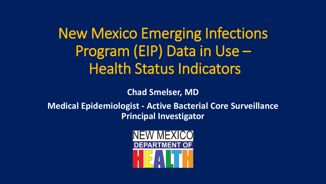New Mexico Emerging Infections Program (EIP) Data in Use – Health Status Indicators

**Chad Smelser, MD**

**Medical Epidemiologist - Active Bacterial Core Surveillance Principal Investigator**

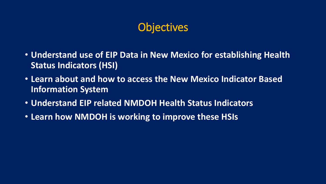## **Objectives**

- **Understand use of EIP Data in New Mexico for establishing Health Status Indicators (HSI)**
- **Learn about and how to access the New Mexico Indicator Based Information System**
- **Understand EIP related NMDOH Health Status Indicators**
- **Learn how NMDOH is working to improve these HSIs**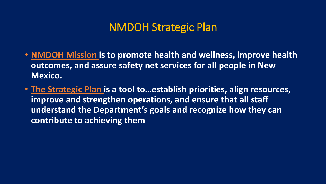#### NMDOH Strategic Plan

- **NMDOH Mission is to promote health and wellness, improve health outcomes, and assure safety net services for all people in New Mexico.**
- **The Strategic Plan is a tool to…establish priorities, align resources, improve and strengthen operations, and ensure that all staff understand the Department's goals and recognize how they can contribute to achieving them**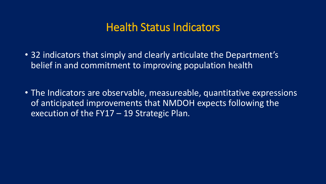### Health Status Indicators

- 32 indicators that simply and clearly articulate the Department's belief in and commitment to improving population health
- The Indicators are observable, measureable, quantitative expressions of anticipated improvements that NMDOH expects following the execution of the FY17 – 19 Strategic Plan.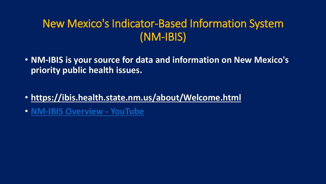## New Mexico's Indicator-Based Information System (NM-IBIS)

- **NM-IBIS is your source for data and information on New Mexico's priority public health issues.**
- **https://ibis.health.state.nm.us/about/Welcome.html**
- **[NM-IBIS Overview -](https://www.google.com/url?sa=t&rct=j&q=&esrc=s&source=web&cd=1&cad=rja&uact=8&ved=0ahUKEwjK44H3n5nPAhXD8YMKHSzsCL4QtwIIHjAA&url=https://www.youtube.com/watch?v%3DY9uPBdZcv-w&usg=AFQjCNHQ_Nfj76K6xWn4155bh5HThLy3ew) YouTube**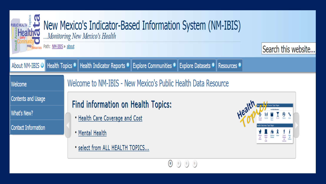| map <sub>Resources</sub> Path: NM-IBIS » about | <b>PUBLICHEALTH &amp; M</b><br><b>Example: Algalth @</b> Mew Mexico's Indicator-Based Information System (NM-IBIS)<br>Monitoring New Mexico's Health | Search this website           |
|------------------------------------------------|------------------------------------------------------------------------------------------------------------------------------------------------------|-------------------------------|
|                                                | About NM-IBIS O Health Topics + Health Indicator Reports + Explore Communities + Explore Datasets + Resources +                                      |                               |
|                                                |                                                                                                                                                      |                               |
| Welcome                                        | Welcome to NM-IBIS - New Mexico's Public Health Data Resource                                                                                        |                               |
| Contents and Usage                             | <b>Find information on Health Topics:</b>                                                                                                            | <b>New Pactors Topic Page</b> |
| What's New?                                    | . Health Care Coverage and Cost                                                                                                                      | Health.                       |
| <b>Contact Information</b>                     | • Mental Health                                                                                                                                      |                               |
|                                                | • select from ALL HEALTH TOPICS                                                                                                                      |                               |
|                                                |                                                                                                                                                      |                               |

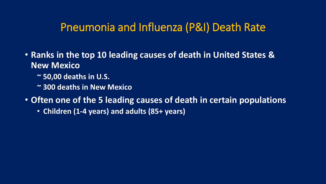#### Pneumonia and Influenza (P&I) Death Rate

- **Ranks in the top 10 leading causes of death in United States & New Mexico**
	- **~ 50,00 deaths in U.S.**
	- **~ 300 deaths in New Mexico**
- **Often one of the 5 leading causes of death in certain populations**
	- **Children (1-4 years) and adults (85+ years)**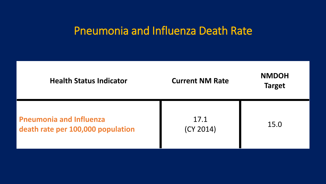### Pneumonia and Influenza Death Rate

| <b>Health Status Indicator</b>                                      | <b>Current NM Rate</b> | <b>NMDOH</b><br><b>Target</b> |
|---------------------------------------------------------------------|------------------------|-------------------------------|
| <b>Pneumonia and Influenza</b><br>death rate per 100,000 population | 17.1<br>(CY 2014)      | 15.0                          |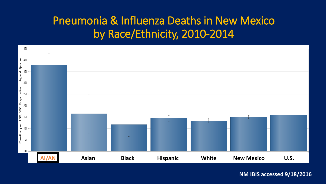## Pneumonia & Influenza Deaths in New Mexico by Race/Ethnicity, 2010-2014

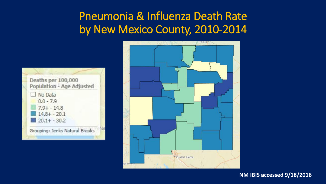## Pneumonia & Influenza Death Rate by New Mexico County, 2010-2014



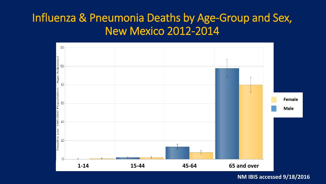## Influenza & Pneumonia Deaths by Age-Group and Sex, New Mexico 2012-2014

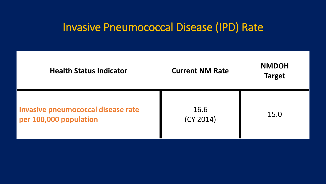## Invasive Pneumococcal Disease (IPD) Rate

| <b>Health Status Indicator</b>                               | <b>Current NM Rate</b> | <b>NMDOH</b><br><b>Target</b> |
|--------------------------------------------------------------|------------------------|-------------------------------|
| Invasive pneumococcal disease rate<br>per 100,000 population | 16.6<br>(CY 2014)      | 15.0                          |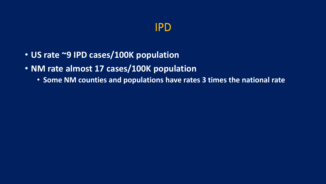#### IPD

- **US rate ~9 IPD cases/100K population**
- **NM rate almost 17 cases/100K population**
	- **Some NM counties and populations have rates 3 times the national rate**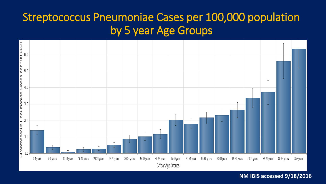## Streptococcus Pneumoniae Cases per 100,000 population by 5 year Age Groups

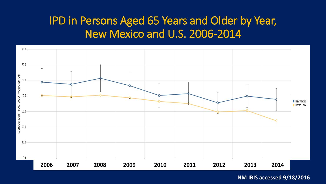## IPD in Persons Aged 65 Years and Older by Year, New Mexico and U.S. 2006-2014

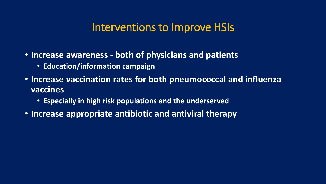#### Interventions to Improve HSIs

- **Increase awareness - both of physicians and patients**
	- **Education/information campaign**
- **Increase vaccination rates for both pneumococcal and influenza vaccines**
	- **Especially in high risk populations and the underserved**
- **Increase appropriate antibiotic and antiviral therapy**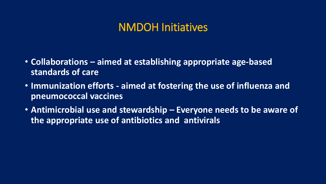#### NMDOH Initiatives

- **Collaborations – aimed at establishing appropriate age-based standards of care**
- **Immunization efforts - aimed at fostering the use of influenza and pneumococcal vaccines**
- **Antimicrobial use and stewardship – Everyone needs to be aware of the appropriate use of antibiotics and antivirals**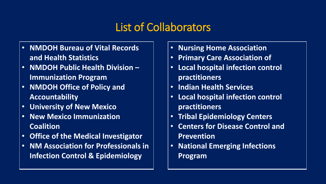## List of Collaborators

- **NMDOH Bureau of Vital Records and Health Statistics**
- **NMDOH Public Health Division – Immunization Program**
- **NMDOH Office of Policy and Accountability**
- **University of New Mexico**
- **New Mexico Immunization Coalition**
- **Office of the Medical Investigator**
- **NM Association for Professionals in Infection Control & Epidemiology**
- **Nursing Home Association**
- **Primary Care Association of**
- **Local hospital infection control practitioners**
- **Indian Health Services**
- **Local hospital infection control practitioners**
- **Tribal Epidemiology Centers**
- **Centers for Disease Control and Prevention**
- **National Emerging Infections Program**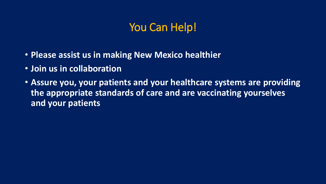## You Can Help!

- **Please assist us in making New Mexico healthier**
- **Join us in collaboration**
- **Assure you, your patients and your healthcare systems are providing the appropriate standards of care and are vaccinating yourselves and your patients**